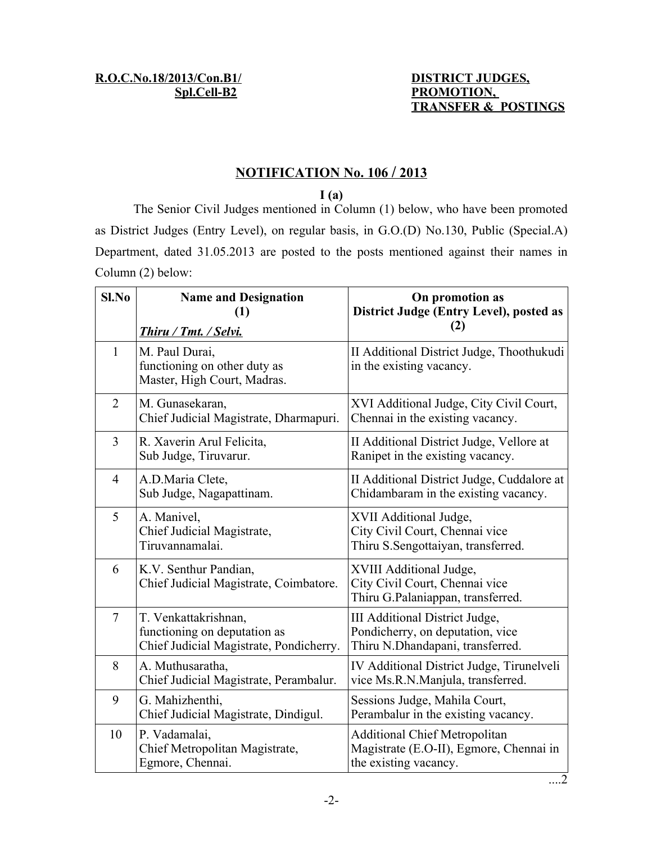## **Spl.Cell-B2** PROMOTION,  **TRANSFER & POSTINGS**

## **N OTIFICATION No. 106 / 2013**

**I (a)**

The Senior Civil Judges mentioned in Column (1) below, who have been promoted as District Judges (Entry Level), on regular basis, in G.O.(D) No.130, Public (Special.A) Department, dated 31.05.2013 are posted to the posts mentioned against their names in Column (2) below:

| Sl.No          | <b>Name and Designation</b><br>(1)                                                              | On promotion as<br>District Judge (Entry Level), posted as<br>(2)                                        |
|----------------|-------------------------------------------------------------------------------------------------|----------------------------------------------------------------------------------------------------------|
|                | Thiru / Tmt. / Selvi.                                                                           |                                                                                                          |
| $\mathbf{1}$   | M. Paul Durai,<br>functioning on other duty as<br>Master, High Court, Madras.                   | II Additional District Judge, Thoothukudi<br>in the existing vacancy.                                    |
| $\overline{2}$ | M. Gunasekaran,<br>Chief Judicial Magistrate, Dharmapuri.                                       | XVI Additional Judge, City Civil Court,<br>Chennai in the existing vacancy.                              |
| 3              | R. Xaverin Arul Felicita,<br>Sub Judge, Tiruvarur.                                              | II Additional District Judge, Vellore at<br>Ranipet in the existing vacancy.                             |
| $\overline{4}$ | A.D.Maria Clete,<br>Sub Judge, Nagapattinam.                                                    | II Additional District Judge, Cuddalore at<br>Chidambaram in the existing vacancy.                       |
| 5              | A. Manivel,<br>Chief Judicial Magistrate,<br>Tiruvannamalai.                                    | XVII Additional Judge,<br>City Civil Court, Chennai vice<br>Thiru S.Sengottaiyan, transferred.           |
| 6              | K.V. Senthur Pandian,<br>Chief Judicial Magistrate, Coimbatore.                                 | XVIII Additional Judge,<br>City Civil Court, Chennai vice<br>Thiru G.Palaniappan, transferred.           |
| $\overline{7}$ | T. Venkattakrishnan,<br>functioning on deputation as<br>Chief Judicial Magistrate, Pondicherry. | III Additional District Judge,<br>Pondicherry, on deputation, vice<br>Thiru N.Dhandapani, transferred.   |
| 8              | A. Muthusaratha,<br>Chief Judicial Magistrate, Perambalur.                                      | IV Additional District Judge, Tirunelveli<br>vice Ms.R.N.Manjula, transferred.                           |
| 9              | G. Mahizhenthi,<br>Chief Judicial Magistrate, Dindigul.                                         | Sessions Judge, Mahila Court,<br>Perambalur in the existing vacancy.                                     |
| 10             | P. Vadamalai,<br>Chief Metropolitan Magistrate,<br>Egmore, Chennai.                             | <b>Additional Chief Metropolitan</b><br>Magistrate (E.O-II), Egmore, Chennai in<br>the existing vacancy. |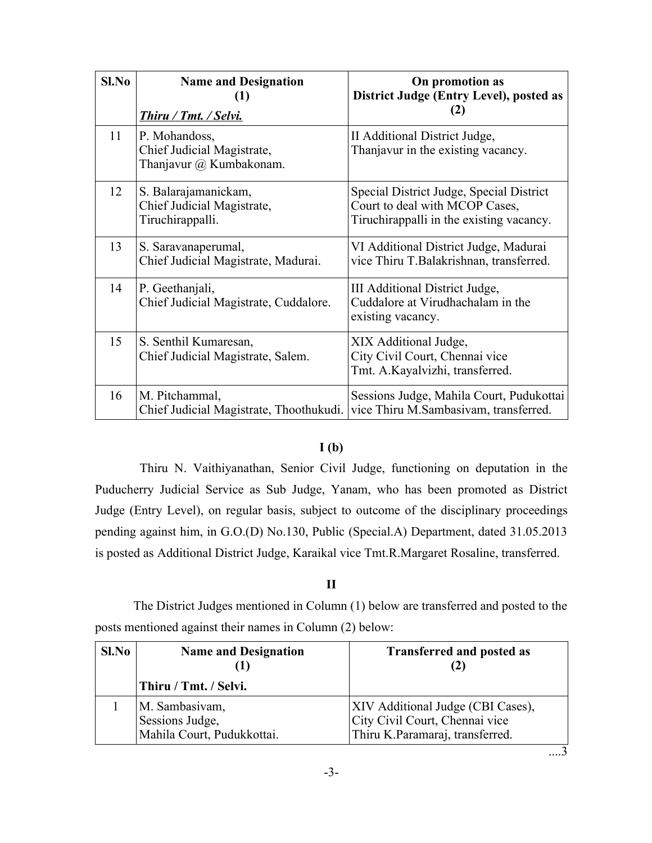| $Sl$ . No | <b>Name and Designation</b><br>(1)<br><b>Thiru / Tmt. / Selvi.</b>     | On promotion as<br>District Judge (Entry Level), posted as<br>(2)                                                      |
|-----------|------------------------------------------------------------------------|------------------------------------------------------------------------------------------------------------------------|
| 11        | P. Mohandoss,<br>Chief Judicial Magistrate,<br>Thanjavur @ Kumbakonam. | II Additional District Judge,<br>Thanjavur in the existing vacancy.                                                    |
| 12        | S. Balarajamanickam,<br>Chief Judicial Magistrate,<br>Tiruchirappalli. | Special District Judge, Special District<br>Court to deal with MCOP Cases,<br>Tiruchirappalli in the existing vacancy. |
| 13        | S. Saravanaperumal,<br>Chief Judicial Magistrate, Madurai.             | VI Additional District Judge, Madurai<br>vice Thiru T.Balakrishnan, transferred.                                       |
| 14        | P. Geethanjali,<br>Chief Judicial Magistrate, Cuddalore.               | III Additional District Judge,<br>Cuddalore at Virudhachalam in the<br>existing vacancy.                               |
| 15        | S. Senthil Kumaresan,<br>Chief Judicial Magistrate, Salem.             | XIX Additional Judge,<br>City Civil Court, Chennai vice<br>Tmt. A.Kayalvizhi, transferred.                             |
| 16        | M. Pitchammal,<br>Chief Judicial Magistrate, Thoothukudi.              | Sessions Judge, Mahila Court, Pudukottai<br>vice Thiru M.Sambasivam, transferred.                                      |

## **I (b)**

Thiru N. Vaithiyanathan, Senior Civil Judge, functioning on deputation in the Puducherry Judicial Service as Sub Judge, Yanam, who has been promoted as District Judge (Entry Level), on regular basis, subject to outcome of the disciplinary proceedings pending against him, in G.O.(D) No.130, Public (Special.A) Department, dated 31.05.2013 is posted as Additional District Judge, Karaikal vice Tmt.R.Margaret Rosaline, transferred.

## **II**

The District Judges mentioned in Column (1) below are transferred and posted to the posts mentioned against their names in Column (2) below:

| Sl.No | <b>Name and Designation</b>                                     | <b>Transferred and posted as</b>                                                                       |
|-------|-----------------------------------------------------------------|--------------------------------------------------------------------------------------------------------|
|       | Thiru / Tmt. / Selvi.                                           |                                                                                                        |
|       | M. Sambasivam,<br>Sessions Judge,<br>Mahila Court, Pudukkottai. | XIV Additional Judge (CBI Cases),<br>City Civil Court, Chennai vice<br>Thiru K.Paramaraj, transferred. |

....3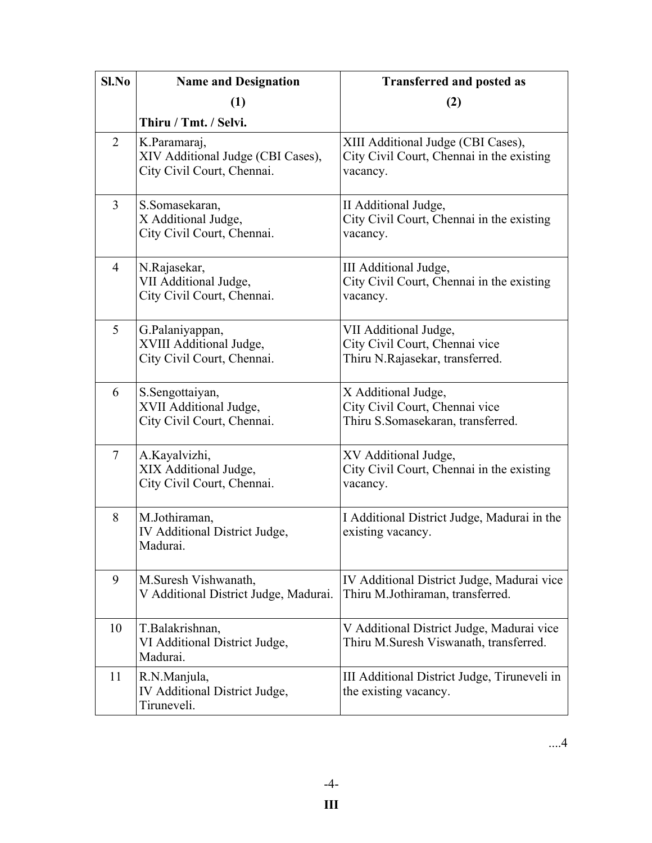| Sl.No          | <b>Name and Designation</b>                                                     | <b>Transferred and posted as</b>                                                            |
|----------------|---------------------------------------------------------------------------------|---------------------------------------------------------------------------------------------|
|                | (1)                                                                             | (2)                                                                                         |
|                | Thiru / Tmt. / Selvi.                                                           |                                                                                             |
| $\overline{2}$ | K.Paramaraj,<br>XIV Additional Judge (CBI Cases),<br>City Civil Court, Chennai. | XIII Additional Judge (CBI Cases),<br>City Civil Court, Chennai in the existing<br>vacancy. |
| $\overline{3}$ | S.Somasekaran,<br>X Additional Judge,<br>City Civil Court, Chennai.             | II Additional Judge,<br>City Civil Court, Chennai in the existing<br>vacancy.               |
| $\overline{4}$ | N.Rajasekar,<br>VII Additional Judge,<br>City Civil Court, Chennai.             | III Additional Judge,<br>City Civil Court, Chennai in the existing<br>vacancy.              |
| 5              | G.Palaniyappan,<br>XVIII Additional Judge,<br>City Civil Court, Chennai.        | VII Additional Judge,<br>City Civil Court, Chennai vice<br>Thiru N.Rajasekar, transferred.  |
| 6              | S.Sengottaiyan,<br>XVII Additional Judge,<br>City Civil Court, Chennai.         | X Additional Judge,<br>City Civil Court, Chennai vice<br>Thiru S.Somasekaran, transferred.  |
| $\tau$         | A.Kayalvizhi,<br>XIX Additional Judge,<br>City Civil Court, Chennai.            | XV Additional Judge,<br>City Civil Court, Chennai in the existing<br>vacancy.               |
| 8              | M.Jothiraman,<br>IV Additional District Judge,<br>Madurai.                      | I Additional District Judge, Madurai in the<br>existing vacancy.                            |
| 9              | M.Suresh Vishwanath,<br>V Additional District Judge, Madurai.                   | IV Additional District Judge, Madurai vice<br>Thiru M.Jothiraman, transferred.              |
| 10             | T.Balakrishnan,<br>VI Additional District Judge,<br>Madurai.                    | V Additional District Judge, Madurai vice<br>Thiru M.Suresh Viswanath, transferred.         |
| 11             | R.N.Manjula,<br>IV Additional District Judge,<br>Tiruneveli.                    | III Additional District Judge, Tiruneveli in<br>the existing vacancy.                       |